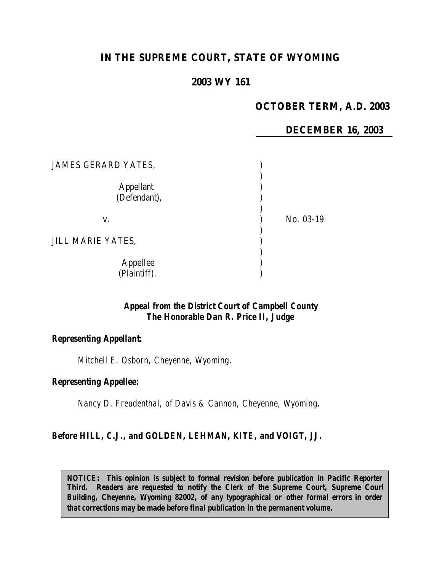# **IN THE SUPREME COURT, STATE OF WYOMING**

# **2003 WY 161**

## **OCTOBER TERM, A.D. 2003**

## **DECEMBER 16, 2003**

| <b>JAMES GERARD YATES,</b>       |           |
|----------------------------------|-----------|
| <b>Appellant</b><br>(Defendant), |           |
| V.                               | No. 03-19 |
| <b>JILL MARIE YATES,</b>         |           |
| Appellee<br>(Plaintiff).         |           |

## *Appeal from the District Court of Campbell County The Honorable Dan R. Price II, Judge*

### *Representing Appellant:*

*Mitchell E. Osborn, Cheyenne, Wyoming.*

#### *Representing Appellee:*

*Nancy D. Freudenthal, of Davis & Cannon, Cheyenne, Wyoming.*

#### *Before HILL, C.J., and GOLDEN, LEHMAN, KITE, and VOIGT, JJ.*

*NOTICE:* This opinion is subject to formal revision before publication in Pacific Reporter *Third. Readers are requested to notify the Clerk of the Supreme Court, Supreme Court Building, Cheyenne, Wyoming 82002, of any typographical or other formal errors in order that corrections may be made before final publication in the permanent volume.*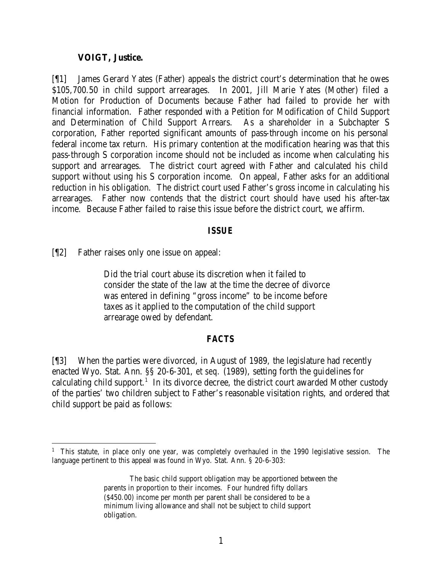### **VOIGT, Justice.**

[¶1] James Gerard Yates (Father) appeals the district court's determination that he owes \$105,700.50 in child support arrearages. In 2001, Jill Marie Yates (Mother) filed a Motion for Production of Documents because Father had failed to provide her with financial information. Father responded with a Petition for Modification of Child Support and Determination of Child Support Arrears. As a shareholder in a Subchapter S corporation, Father reported significant amounts of pass-through income on his personal federal income tax return. His primary contention at the modification hearing was that this pass-through S corporation income should not be included as income when calculating his support and arrearages. The district court agreed with Father and calculated his child support without using his S corporation income. On appeal, Father asks for an additional reduction in his obligation. The district court used Father's gross income in calculating his arrearages. Father now contends that the district court should have used his after-tax income. Because Father failed to raise this issue before the district court, we affirm.

### *ISSUE*

[¶2] Father raises only one issue on appeal:

Did the trial court abuse its discretion when it failed to consider the state of the law at the time the decree of divorce was entered in defining "gross income" to be income before taxes as it applied to the computation of the child support arrearage owed by defendant.

## *FACTS*

[¶3] When the parties were divorced, in August of 1989, the legislature had recently enacted Wyo. Stat. Ann. §§ 20-6-301, *et seq.* (1989), setting forth the guidelines for calculating child support.<sup>1</sup> In its divorce decree, the district court awarded Mother custody of the parties' two children subject to Father's reasonable visitation rights, and ordered that child support be paid as follows:

<sup>&</sup>lt;sup>1</sup> This statute, in place only one year, was completely overhauled in the 1990 legislative session. The language pertinent to this appeal was found in Wyo. Stat. Ann. § 20-6-303:

The basic child support obligation may be apportioned between the parents in proportion to their incomes. Four hundred fifty dollars (\$450.00) income per month per parent shall be considered to be a minimum living allowance and shall not be subject to child support obligation.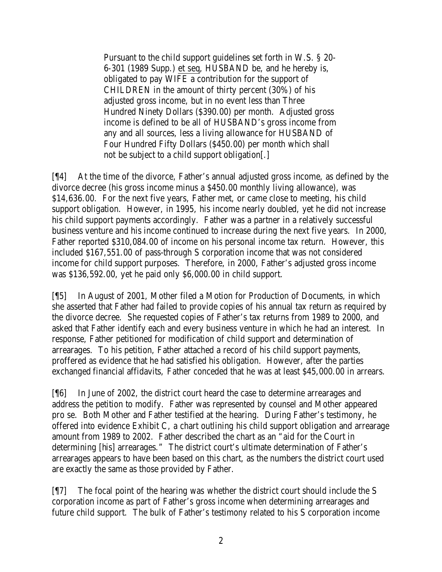Pursuant to the child support guidelines set forth in W.S. § 20- 6-301 (1989 Supp.) et seq, HUSBAND be, and he hereby is, obligated to pay WIFE a contribution for the support of CHILDREN in the amount of thirty percent (30%) of his adjusted gross income, but in no event less than Three Hundred Ninety Dollars (\$390.00) per month. Adjusted gross income is defined to be all of HUSBAND's gross income from any and all sources, less a living allowance for HUSBAND of Four Hundred Fifty Dollars (\$450.00) per month which shall not be subject to a child support obligation[.]

[¶4] At the time of the divorce, Father's annual adjusted gross income, as defined by the divorce decree (his gross income minus a \$450.00 monthly living allowance), was \$14,636.00. For the next five years, Father met, or came close to meeting, his child support obligation. However, in 1995, his income nearly doubled, yet he did not increase his child support payments accordingly. Father was a partner in a relatively successful business venture and his income continued to increase during the next five years. In 2000, Father reported \$310,084.00 of income on his personal income tax return. However, this included \$167,551.00 of pass-through S corporation income that was not considered income for child support purposes. Therefore, in 2000, Father's adjusted gross income was \$136,592.00, yet he paid only \$6,000.00 in child support.

[¶5] In August of 2001, Mother filed a Motion for Production of Documents, in which she asserted that Father had failed to provide copies of his annual tax return as required by the divorce decree. She requested copies of Father's tax returns from 1989 to 2000, and asked that Father identify each and every business venture in which he had an interest. In response, Father petitioned for modification of child support and determination of arrearages. To his petition, Father attached a record of his child support payments, proffered as evidence that he had satisfied his obligation. However, after the parties exchanged financial affidavits, Father conceded that he was at least \$45,000.00 in arrears.

[¶6] In June of 2002, the district court heard the case to determine arrearages and address the petition to modify. Father was represented by counsel and Mother appeared pro se. Both Mother and Father testified at the hearing. During Father's testimony, he offered into evidence Exhibit C, a chart outlining his child support obligation and arrearage amount from 1989 to 2002. Father described the chart as an "aid for the Court in determining [his] arrearages." The district court's ultimate determination of Father's arrearages appears to have been based on this chart, as the numbers the district court used are exactly the same as those provided by Father.

[¶7] The focal point of the hearing was whether the district court should include the S corporation income as part of Father's gross income when determining arrearages and future child support. The bulk of Father's testimony related to his S corporation income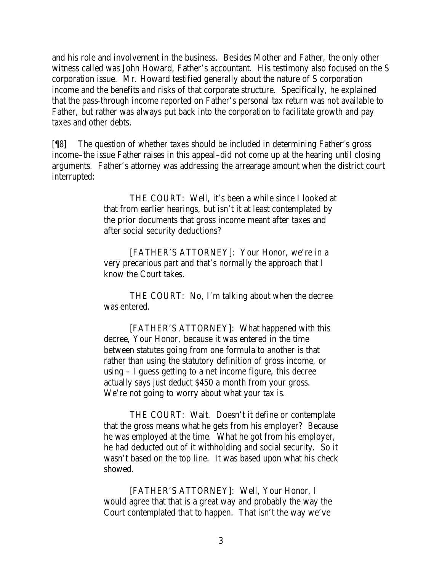and his role and involvement in the business. Besides Mother and Father, the only other witness called was John Howard, Father's accountant. His testimony also focused on the S corporation issue. Mr. Howard testified generally about the nature of S corporation income and the benefits and risks of that corporate structure. Specifically, he explained that the pass-through income reported on Father's personal tax return was not available to Father, but rather was always put back into the corporation to facilitate growth and pay taxes and other debts.

[¶8] The question of whether taxes should be included in determining Father's gross income–the issue Father raises in this appeal–did not come up at the hearing until closing arguments. Father's attorney was addressing the arrearage amount when the district court interrupted:

> THE COURT: Well, it's been a while since I looked at that from earlier hearings, but isn't it at least contemplated by the prior documents that gross income meant after taxes and after social security deductions?

[FATHER'S ATTORNEY]: Your Honor, we're in a very precarious part and that's normally the approach that I know the Court takes.

THE COURT: No, I'm talking about when the decree was entered.

[FATHER'S ATTORNEY]: What happened with this decree, Your Honor, because it was entered in the time between statutes going from one formula to another is that rather than using the statutory definition of gross income, or using – I guess getting to a net income figure, this decree actually says just deduct \$450 a month from your gross. We're not going to worry about what your tax is.

THE COURT: Wait. Doesn't it define or contemplate that the gross means what he gets from his employer? Because he was employed at the time. What he got from his employer, he had deducted out of it withholding and social security. So it wasn't based on the top line. It was based upon what his check showed.

[FATHER'S ATTORNEY]: Well, Your Honor, I would agree that that is a great way and probably the way the Court contemplated that to happen. That isn't the way we've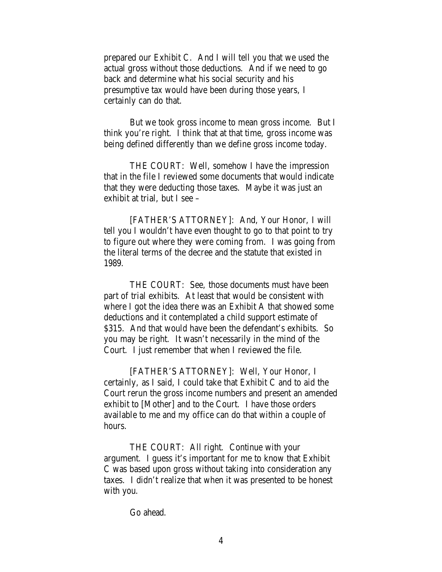prepared our Exhibit C. And I will tell you that we used the actual gross without those deductions. And if we need to go back and determine what his social security and his presumptive tax would have been during those years, I certainly can do that.

But we took gross income to mean gross income. But I think you're right. I think that at that time, gross income was being defined differently than we define gross income today.

THE COURT: Well, somehow I have the impression that in the file I reviewed some documents that would indicate that they were deducting those taxes. Maybe it was just an exhibit at trial, but I see –

[FATHER'S ATTORNEY]: And, Your Honor, I will tell you I wouldn't have even thought to go to that point to try to figure out where they were coming from. I was going from the literal terms of the decree and the statute that existed in 1989.

THE COURT: See, those documents must have been part of trial exhibits. At least that would be consistent with where I got the idea there was an Exhibit A that showed some deductions and it contemplated a child support estimate of \$315. And that would have been the defendant's exhibits. So you may be right. It wasn't necessarily in the mind of the Court. I just remember that when I reviewed the file.

[FATHER'S ATTORNEY]: Well, Your Honor, I certainly, as I said, I could take that Exhibit C and to aid the Court rerun the gross income numbers and present an amended exhibit to [Mother] and to the Court. I have those orders available to me and my office can do that within a couple of hours.

THE COURT: All right. Continue with your argument. I guess it's important for me to know that Exhibit C was based upon gross without taking into consideration any taxes. I didn't realize that when it was presented to be honest with you.

Go ahead.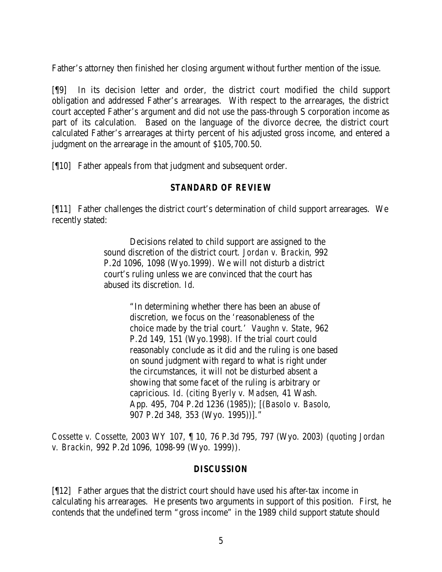Father's attorney then finished her closing argument without further mention of the issue.

[¶9] In its decision letter and order, the district court modified the child support obligation and addressed Father's arrearages. With respect to the arrearages, the district court accepted Father's argument and did not use the pass-through S corporation income as part of its calculation. Based on the language of the divorce decree, the district court calculated Father's arrearages at thirty percent of his adjusted gross income, and entered a judgment on the arrearage in the amount of \$105,700.50.

[¶10] Father appeals from that judgment and subsequent order.

# *STANDARD OF REVIEW*

[¶11] Father challenges the district court's determination of child support arrearages. We recently stated:

> Decisions related to child support are assigned to the sound discretion of the district court. *Jordan v. Brackin*, 992 P.2d 1096, 1098 (Wyo.1999). We will not disturb a district court's ruling unless we are convinced that the court has abused its discretion. *Id*.

> > "In determining whether there has been an abuse of discretion, we focus on the 'reasonableness of the choice made by the trial court.' *Vaughn v. State*, 962 P.2d 149, 151 (Wyo.1998). If the trial court could reasonably conclude as it did and the ruling is one based on sound judgment with regard to what is right under the circumstances, it will not be disturbed absent a showing that some facet of the ruling is arbitrary or capricious. *Id.* (*citing Byerly v. Madsen*, 41 Wash. App. 495, 704 P.2d 1236 (1985)); [(*Basolo v. Basolo*, 907 P.2d 348, 353 (Wyo. 1995))]."

*Cossette v. Cossette,* 2003 WY 107, ¶ 10, 76 P.3d 795, 797 (Wyo. 2003) (*quoting Jordan v. Brackin,* 992 P.2d 1096, 1098-99 (Wyo. 1999)).

## *DISCUSSION*

[¶12] Father argues that the district court should have used his after-tax income in calculating his arrearages. He presents two arguments in support of this position. First, he contends that the undefined term "gross income" in the 1989 child support statute should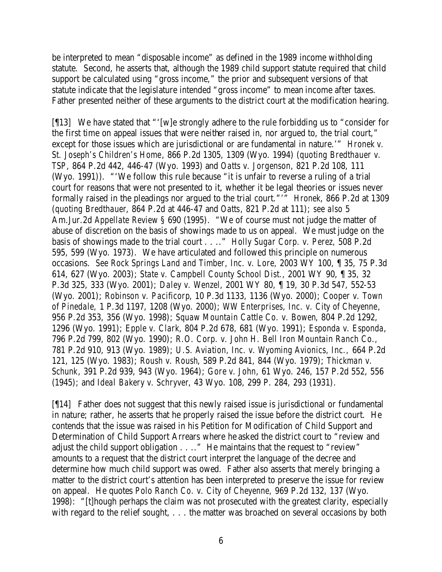be interpreted to mean "disposable income" as defined in the 1989 income withholding statute. Second, he asserts that, although the 1989 child support statute required that child support be calculated using "gross income," the prior and subsequent versions of that statute indicate that the legislature intended "gross income" to mean income after taxes. Father presented neither of these arguments to the district court at the modification hearing.

[¶13] We have stated that "'[w]e strongly adhere to the rule forbidding us to "consider for the first time on appeal issues that were neither raised in, nor argued to, the trial court," except for those issues which are jurisdictional or are fundamental in nature.'" *Hronek v. St. Joseph's Children's Home*, 866 P.2d 1305, 1309 (Wyo. 1994) (*quoting Bredthauer v. TSP*, 864 P.2d 442, 446-47 (Wyo. 1993) and *Oatts v. Jorgenson*, 821 P.2d 108, 111 (Wyo. 1991)). "'We follow this rule because "it is unfair to reverse a ruling of a trial court for reasons that were not presented to it, whether it be legal theories or issues never formally raised in the pleadings nor argued to the trial court."'" *Hronek*, 866 P.2d at 1309 (*quoting Bredthauer*, 864 P.2d at 446-47 and *Oatts*, 821 P.2d at 111); *see also* 5 Am.Jur.2d *Appellate Review* § 690 (1995). "We of course must not judge the matter of abuse of discretion on the basis of showings made to us on appeal. We must judge on the basis of showings made to the trial court . . .." *Holly Sugar Corp. v. Perez,* 508 P.2d 595, 599 (Wyo. 1973). We have articulated and followed this principle on numerous occasions. *See Rock Springs Land and Timber, Inc. v. Lore,* 2003 WY 100, ¶ 35, 75 P.3d 614, 627 (Wyo. 2003); *State v. Campbell County School Dist.,* 2001 WY 90, ¶ 35, 32 P.3d 325, 333 (Wyo. 2001); *Daley v. Wenzel,* 2001 WY 80, ¶ 19, 30 P.3d 547, 552-53 (Wyo. 2001); *Robinson v. Pacificorp*, 10 P.3d 1133, 1136 (Wyo. 2000); *Cooper v. Town of Pinedale,* 1 P.3d 1197, 1208 (Wyo. 2000); *WW Enterprises, Inc. v. City of Cheyenne*, 956 P.2d 353, 356 (Wyo. 1998); *Squaw Mountain Cattle Co. v. Bowen*, 804 P.2d 1292, 1296 (Wyo. 1991); *Epple v. Clark*, 804 P.2d 678, 681 (Wyo. 1991); *Esponda v. Esponda*, 796 P.2d 799, 802 (Wyo. 1990); *R.O. Corp. v. John H. Bell Iron Mountain Ranch Co.,*  781 P.2d 910, 913 (Wyo. 1989); *U.S. Aviation, Inc. v. Wyoming Avionics, Inc.,* 664 P.2d 121, 125 (Wyo. 1983); *Roush v. Roush*, 589 P.2d 841, 844 (Wyo. 1979); *Thickman v. Schunk*, 391 P.2d 939, 943 (Wyo. 1964); *Gore v. John*, 61 Wyo. 246, 157 P.2d 552, 556 (1945); and *Ideal Bakery v. Schryver*, 43 Wyo. 108, 299 P. 284, 293 (1931).

[¶14] Father does not suggest that this newly raised issue is jurisdictional or fundamental in nature; rather, he asserts that he properly raised the issue before the district court. He contends that the issue was raised in his Petition for Modification of Child Support and Determination of Child Support Arrears where he asked the district court to "review and adjust the child support obligation . . .." He maintains that the request to "review" amounts to a request that the district court interpret the language of the decree and determine how much child support was owed. Father also asserts that merely bringing a matter to the district court's attention has been interpreted to preserve the issue for review on appeal. He quotes *Polo Ranch Co. v. City of Cheyenne,* 969 P.2d 132, 137 (Wyo. 1998): "[t]hough perhaps the claim was not prosecuted with the greatest clarity, especially with regard to the relief sought, ... the matter was broached on several occasions by both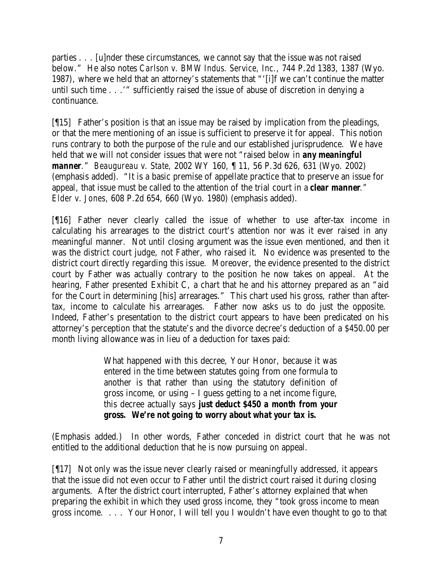parties . . . [u]nder these circumstances, we cannot say that the issue was not raised below." He also notes *Carlson v. BMW Indus. Service, Inc.,* 744 P.2d 1383, 1387 (Wyo. 1987), where we held that an attorney's statements that "'[i]f we can't continue the matter until such time . . .'" sufficiently raised the issue of abuse of discretion in denying a continuance.

[¶15] Father's position is that an issue may be raised by implication from the pleadings, or that the mere mentioning of an issue is sufficient to preserve it for appeal. This notion runs contrary to both the purpose of the rule and our established jurisprudence. We have held that we will not consider issues that were not "raised below in *any meaningful manner.*" *Beaugureau v. State,* 2002 WY 160, ¶ 11, 56 P.3d 626, 631 (Wyo. 2002) (emphasis added). "It is a basic premise of appellate practice that to preserve an issue for appeal, that issue must be called to the attention of the trial court in a *clear manner." Elder v. Jones,* 608 P.2d 654, 660 (Wyo. 1980) (emphasis added).

[¶16] Father never clearly called the issue of whether to use after-tax income in calculating his arrearages to the district court's attention nor was it ever raised in any meaningful manner. Not until closing argument was the issue even mentioned, and then it was the district court judge, not Father, who raised it. No evidence was presented to the district court directly regarding this issue. Moreover, the evidence presented to the district court by Father was actually contrary to the position he now takes on appeal. At the hearing, Father presented Exhibit C, a chart that he and his attorney prepared as an "aid for the Court in determining [his] arrearages." This chart used his gross, rather than aftertax, income to calculate his arrearages. Father now asks us to do just the opposite. Indeed, Father's presentation to the district court appears to have been predicated on his attorney's perception that the statute's and the divorce decree's deduction of a \$450.00 per month living allowance was in lieu of a deduction for taxes paid:

> What happened with this decree, Your Honor, because it was entered in the time between statutes going from one formula to another is that rather than using the statutory definition of gross income, or using – I guess getting to a net income figure, this decree actually says *just deduct \$450 a month from your gross. We're not going to worry about what your tax is.*

(Emphasis added.) In other words, Father conceded in district court that he was not entitled to the additional deduction that he is now pursuing on appeal.

[¶17] Not only was the issue never clearly raised or meaningfully addressed, it appears that the issue did not even occur to Father until the district court raised it during closing arguments. After the district court interrupted, Father's attorney explained that when preparing the exhibit in which they used gross income, they "took gross income to mean gross income. . . . Your Honor, I will tell you I wouldn't have even thought to go to that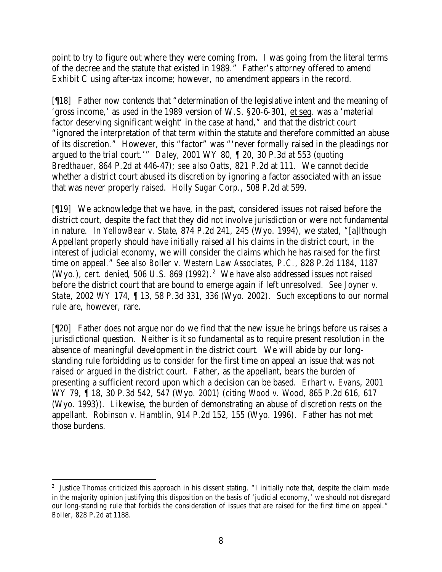point to try to figure out where they were coming from. I was going from the literal terms of the decree and the statute that existed in 1989." Father's attorney offered to amend Exhibit C using after-tax income; however, no amendment appears in the record.

[¶18] Father now contends that "determination of the legislative intent and the meaning of 'gross income,' as used in the 1989 version of W.S. §20-6-301, et seq*.* was a 'material factor deserving significant weight' in the case at hand," and that the district court "ignored the interpretation of that term within the statute and therefore committed an abuse of its discretion." However, this "factor" was "'never formally raised in the pleadings nor argued to the trial court.'" *Daley,* 2001 WY 80, ¶ 20, 30 P.3d at 553 (*quoting Bredthauer*, 864 P.2d at 446-47); *see also Oatts*, 821 P.2d at 111. We cannot decide whether a district court abused its discretion by ignoring a factor associated with an issue that was never properly raised. *Holly Sugar Corp.,* 508 P.2d at 599.

[¶19] We acknowledge that we have, in the past, considered issues not raised before the district court, despite the fact that they did not involve jurisdiction or were not fundamental in nature. In *YellowBear v. State*, 874 P.2d 241, 245 (Wyo. 1994), we stated, "[a]lthough Appellant properly should have initially raised all his claims in the district court, in the interest of judicial economy, we will consider the claims which he has raised for the first time on appeal." *See also Boller v. Western Law Associates, P.C.*, 828 P.2d 1184, 1187 (Wyo.), *cert. denied*, 506 U.S. 869 (1992). 2 We have also addressed issues not raised before the district court that are bound to emerge again if left unresolved. *See Joyner v. State*, 2002 WY 174, ¶ 13, 58 P.3d 331, 336 (Wyo. 2002). Such exceptions to our normal rule are, however, rare.

[¶20] Father does not argue nor do we find that the new issue he brings before us raises a jurisdictional question. Neither is it so fundamental as to require present resolution in the absence of meaningful development in the district court. We will abide by our longstanding rule forbidding us to consider for the first time on appeal an issue that was not raised or argued in the district court. Father, as the appellant, bears the burden of presenting a sufficient record upon which a decision can be based. *Erhart v. Evans*, 2001 WY 79, ¶ 18, 30 P.3d 542, 547 (Wyo. 2001) (*citing Wood v. Wood,* 865 P.2d 616, 617 (Wyo. 1993)). Likewise, the burden of demonstrating an abuse of discretion rests on the appellant. *Robinson v. Hamblin,* 914 P.2d 152, 155 (Wyo. 1996). Father has not met those burdens.

 <sup>2</sup> Justice Thomas criticized this approach in his dissent stating, "I initially note that, despite the claim made in the majority opinion justifying this disposition on the basis of 'judicial economy,' we should not disregard our long-standing rule that forbids the consideration of issues that are raised for the first time on appeal." *Boller*, 828 P.2d at 1188.